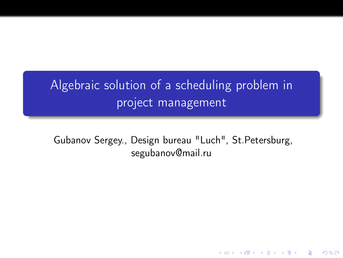# Algebraic solution of a scheduling problem in project management

<span id="page-0-0"></span>Gubanov Sergey., Design bureau "Luch", St.Petersburg, segubanov@mail.ru

K ロ ▶ K @ ▶ K 할 > K 할 > 1 할 > 1 ⊙ Q Q ^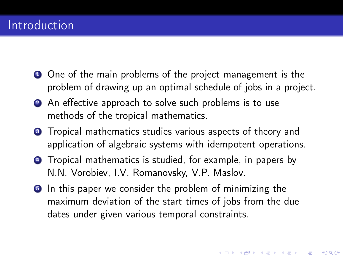## Introduction

- **1** One of the main problems of the project management is the problem of drawing up an optimal schedule of jobs in a project.
- 2 An effective approach to solve such problems is to use methods of the tropical mathematics.
- **3** Tropical mathematics studies various aspects of theory and application of algebraic systems with idempotent operations.
- <sup>4</sup> Tropical mathematics is studied, for example, in papers by N.N. Vorobiev, I.V. Romanovsky, V.P. Maslov.
- **In this paper we consider the problem of minimizing the** maximum deviation of the start times of jobs from the due dates under given various temporal constraints.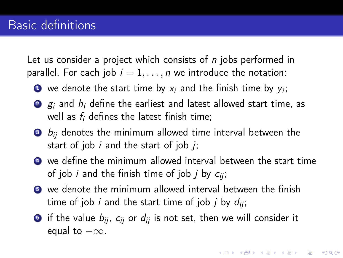Let us consider a project which consists of *n* jobs performed in parallel. For each job  $i = 1, \ldots, n$  we introduce the notation:

- $\bullet$  we denote the start time by  $x_i$  and the finish time by  $y_i;$
- $\bullet$   $g_i$  and  $h_i$  define the earliest and latest allowed start time, as well as  $f_i$  defines the latest finish time;
- $\bullet$   $b_{ii}$  denotes the minimum allowed time interval between the start of job  $i$  and the start of job  $i$ ;
- $\bullet$  we define the minimum allowed interval between the start time of job *i* and the finish time of job *j* by  $c_{ii}$ ;
- <sup>5</sup> we denote the minimum allowed interval between the finish time of job *i* and the start time of job *j* by  $d_{ii}$ ;
- <span id="page-2-0"></span>• if the value  $b_{ii}$ ,  $c_{ii}$  or  $d_{ii}$  is not set, then we will consider it equal to  $-\infty$ .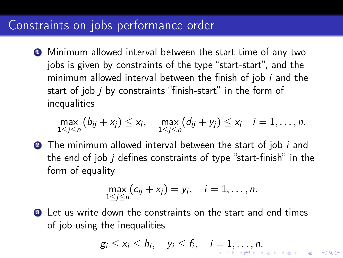#### Constraints on jobs performance order

**1** Minimum allowed interval between the start time of any two jobs is given by constraints of the type "start-start", and the minimum allowed interval between the finish of job  $i$  and the start of job j by constraints "finish-start" in the form of inequalities

$$
\max_{1\leq j\leq n} (b_{ij}+x_j)\leq x_i, \quad \max_{1\leq j\leq n} (d_{ij}+y_j)\leq x_i \quad i=1,\ldots,n.
$$

**2** The minimum allowed interval between the start of job *i* and the end of job  $i$  defines constraints of type "start-finish" in the form of equality

$$
\max_{1\leq j\leq n}(c_{ij}+x_j)=y_i, \quad i=1,\ldots,n.
$$

<span id="page-3-0"></span>**3** Let us write down the constraints on the start and end times of job using the inequalities

$$
g_i \leq x_i \leq h_i, \quad y_i \leq f_i, \quad i=1,\ldots,n.
$$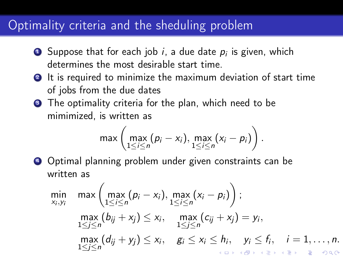### Optimality criteria and the sheduling problem

- $\bullet$  Suppose that for each job  $i$ , a due date  $p_i$  is given, which determines the most desirable start time.
- <sup>2</sup> It is required to minimize the maximum deviation of start time of jobs from the due dates
- **3** The optimality criteria for the plan, which need to be mimimized, is written as

$$
\max\left(\max_{1\leq i\leq n}(p_i-x_i),\max_{1\leq i\leq n}(x_i-p_i)\right).
$$

<sup>4</sup> Optimal planning problem under given constraints can be written as

<span id="page-4-0"></span>
$$
\min_{x_i, y_i} \max \left( \max_{1 \leq i \leq n} (p_i - x_i), \max_{1 \leq i \leq n} (x_i - p_i) \right);
$$
\n
$$
\max_{1 \leq j \leq n} (b_{ij} + x_j) \leq x_i, \max_{1 \leq j \leq n} (c_{ij} + x_j) = y_i,
$$
\n
$$
\max_{1 \leq j \leq n} (d_{ij} + y_j) \leq x_i, \quad g_i \leq x_i \leq h_i, \quad y_i \leq f_i, \quad i = 1, ..., n.
$$
\n
$$
\max_{1 \leq j \leq n} (d_{ij} + y_j) \leq x_i, \quad g_i \leq x_i \leq h_i, \quad y_i \leq f_i, \quad i = 1, ..., n.
$$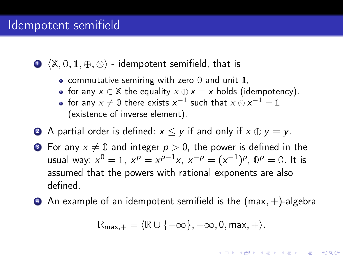#### Idempotent semifield

**1**  $\langle \mathbb{X}, \mathbb{0}, \mathbb{1}, \oplus, \otimes \rangle$  - idempotent semifield, that is

- commutative semiring with zero  $\theta$  and unit  $\mathbb{1}$ ,
- for any  $x \in \mathbb{X}$  the equality  $x \oplus x = x$  holds (idempotency).
- for any  $x \neq 0$  there exists  $x^{-1}$  such that  $x \otimes x^{-1} = \mathbb{1}$ (existence of inverse element).
- **2** A partial order is defined:  $x \leq y$  if and only if  $x \oplus y = y$ .
- **3** For any  $x \neq 0$  and integer  $p > 0$ , the power is defined in the usual way:  $x^0=\mathbb{1},\ x^{\rho}=x^{\rho-1}x,\ x^{-\rho}=(x^{-1})^{\rho},\ \mathbb{0}^{\rho}=\mathbb{0}.$  It is assumed that the powers with rational exponents are also defined.
- $\bullet$  An example of an idempotent semifield is the (max,  $+$ )-algebra

$$
\mathbb{R}_{\text{max},+} = \langle \mathbb{R} \cup \{-\infty\}, -\infty, 0, \text{max}, + \rangle.
$$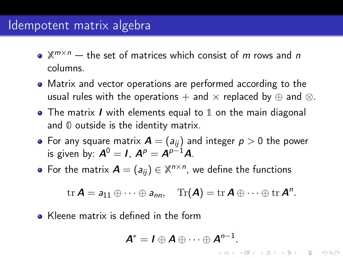#### Idempotent matrix algebra

- $\mathbb{X}^{m \times n}$  the set of matrices which consist of m rows and n columns.
- Matrix and vector operations are performed according to the usual rules with the operations + and  $\times$  replaced by  $\oplus$  and  $\otimes$ .
- $\bullet$  The matrix I with elements equal to 1 on the main diagonal and 0 outside is the identity matrix.
- For any square matrix  $A = (a_{ij})$  and integer  $p > 0$  the power is given by:  $A^0 = I$ ,  $A^p = A^{p-1}A$ .
- For the matrix  $\mathbf{A} = (a_{ij}) \in \mathbb{X}^{n \times n}$ , we define the functions

$$
\mathrm{tr}\,\boldsymbol{A}=a_{11}\oplus\cdots\oplus a_{nn},\quad \mathrm{Tr}(\boldsymbol{A})=\mathrm{tr}\,\boldsymbol{A}\oplus\cdots\oplus\mathrm{tr}\,\boldsymbol{A}^n.
$$

• Kleene matrix is defined in the form

$$
\mathbf{A}^* = \mathbf{I} \oplus \mathbf{A} \oplus \cdots \oplus \mathbf{A}^{n-1}.
$$

K ロ K K (日) X X B X X B X X X X X X X B X D X O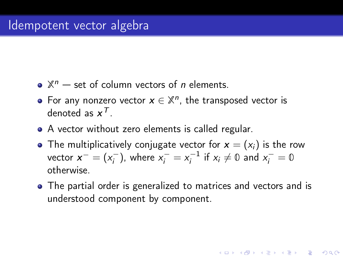- $\mathbb{X}^n$  set of column vectors of *n* elements.
- For any nonzero vector  $x \in \mathbb{X}^n$ , the transposed vector is denoted as  $x^{\mathcal{T}}$ .
- A vector without zero elements is called regular.
- The multiplicatively conjugate vector for  $x = (x_i)$  is the row vector  $x^- = (x_i^-)$  $(x_i^{-})$ , where  $x_i^{-} = x_i^{-1}$  $x_i^{-1}$  if  $x_i \neq \emptyset$  and  $x_i^{-} = \emptyset$ otherwise.
- The partial order is generalized to matrices and vectors and is understood component by component.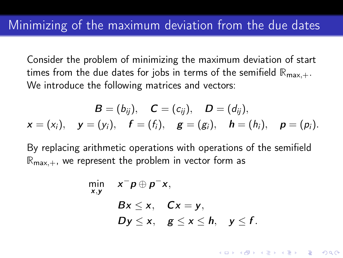Consider the problem of minimizing the maximum deviation of start times from the due dates for jobs in terms of the semifield  $\mathbb{R}_{\max,+}$ . We introduce the following matrices and vectors:

$$
B = (b_{ij}), \quad C = (c_{ij}), \quad D = (d_{ij}),
$$
  

$$
x = (x_i), \quad y = (y_i), \quad f = (f_i), \quad g = (g_i), \quad h = (h_i), \quad p = (p_i).
$$

By replacing arithmetic operations with operations of the semifield  $\mathbb{R}_{\max,+}$ , we represent the problem in vector form as

$$
\min_{x,y} \quad x^{-} p \oplus p^{-} x,
$$
\n
$$
Bx \leq x, \quad Cx = y,
$$
\n
$$
Dy \leq x, \quad g \leq x \leq h, \quad y \leq f.
$$

**KORKA REPARATION ADD**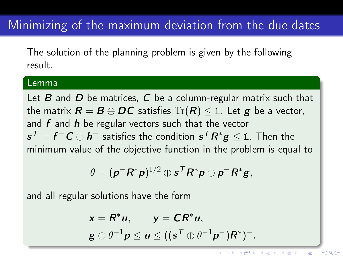# Minimizing of the maximum deviation from the due dates

The solution of the planning problem is given by the following result.

#### Lemma

Let  $B$  and  $D$  be matrices,  $C$  be a column-regular matrix such that the matrix  $R = B \oplus DC$  satisfies  $\text{Tr}(R) \leq 1$ . Let g be a vector, and  $f$  and  $h$  be regular vectors such that the vector  $\bm{s}^\mathcal{T}=\bm{f}^-\bm{C}\oplus \bm{h}^-$  satisfies the condition  $\bm{s}^\mathcal{T}\bm{R}^*\bm{g}\leq \mathbb{1}.$  Then the minimum value of the objective function in the problem is equal to

$$
\theta = (\pmb{p}^- \pmb{R}^* \pmb{p})^{1/2} \oplus \pmb{s}^\mathsf{T} \pmb{R}^* \pmb{p} \oplus \pmb{p}^- \pmb{R}^* \pmb{g},
$$

and all regular solutions have the form

$$
x = R^* u, \qquad y = CR^* u,
$$
  

$$
g \oplus \theta^{-1} p \le u \le ((s^T \oplus \theta^{-1} p^-)R^*)^-.
$$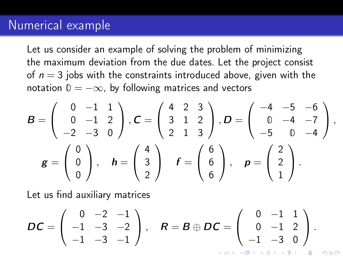#### Numerical example

Let us consider an example of solving the problem of minimizing the maximum deviation from the due dates. Let the project consist of  $n = 3$  jobs with the constraints introduced above, given with the notation  $0 = -\infty$ , by following matrices and vectors

$$
B = \begin{pmatrix} 0 & -1 & 1 \\ 0 & -1 & 2 \\ -2 & -3 & 0 \end{pmatrix}, C = \begin{pmatrix} 4 & 2 & 3 \\ 3 & 1 & 2 \\ 2 & 1 & 3 \end{pmatrix}, D = \begin{pmatrix} -4 & -5 & -6 \\ 0 & -4 & -7 \\ -5 & 0 & -4 \end{pmatrix},
$$

$$
g = \begin{pmatrix} 0 \\ 0 \\ 0 \end{pmatrix}, \quad h = \begin{pmatrix} 4 \\ 3 \\ 2 \end{pmatrix} \quad f = \begin{pmatrix} 6 \\ 6 \\ 6 \end{pmatrix}, \quad p = \begin{pmatrix} 2 \\ 2 \\ 1 \end{pmatrix}.
$$

Let us find auxiliary matrices

$$
DC = \left(\begin{array}{rrr} 0 & -2 & -1 \\ -1 & -3 & -2 \\ -1 & -3 & -1 \end{array}\right), \quad R = B \oplus DC = \left(\begin{array}{rrr} 0 & -1 & 1 \\ 0 & -1 & 2 \\ -1 & -3 & 0 \end{array}\right).
$$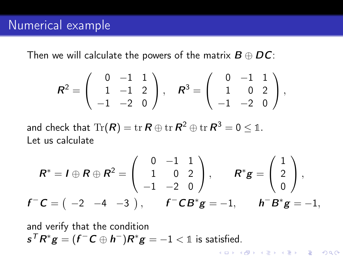Then we will calculate the powers of the matrix  $B \oplus DC$ :

$$
\mathbf{R}^2 = \left( \begin{array}{rrr} 0 & -1 & 1 \\ 1 & -1 & 2 \\ -1 & -2 & 0 \end{array} \right), \quad \mathbf{R}^3 = \left( \begin{array}{rrr} 0 & -1 & 1 \\ 1 & 0 & 2 \\ -1 & -2 & 0 \end{array} \right),
$$

and check that  $\text{Tr}(\pmb{R})=\text{tr}\,\pmb{R}\oplus\text{tr}\,\pmb{R}^2\oplus\text{tr}\,\pmb{R}^3=0\leq\mathbb{1}.$ Let us calculate

$$
R^* = I \oplus R \oplus R^2 = \begin{pmatrix} 0 & -1 & 1 \\ 1 & 0 & 2 \\ -1 & -2 & 0 \end{pmatrix}, \qquad R^*g = \begin{pmatrix} 1 \\ 2 \\ 0 \end{pmatrix},
$$
  

$$
f^-C = \begin{pmatrix} -2 & -4 & -3 \end{pmatrix}, \qquad f^-CB^*g = -1, \qquad h^-B^*g = -1,
$$

K ロ ▶ K @ ▶ K 할 > K 할 > 1 할 > 1 ⊙ Q Q ^

and verify that the condition  $\boldsymbol{s}^\mathcal{T} \boldsymbol{R}^* \boldsymbol{g} = (\boldsymbol{f}^- \boldsymbol{C} \oplus \boldsymbol{h}^-) \boldsymbol{R}^* \boldsymbol{g} = -1 < \mathbb{1}$  is satisfied.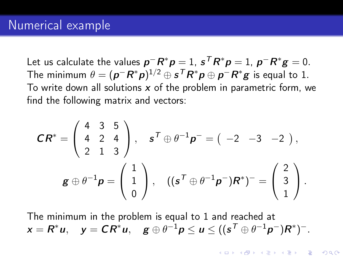Let us calculate the values  $\bm{p}^-\bm{R}^*\bm{p}=1$ ,  $\bm{s}^\mathcal{T}\bm{R}^*\bm{p}=1$ ,  $\bm{p}^-\bm{R}^*\bm{g}=0$ . The minimum  $\theta = (\bm{p}^- \bm{R}^* \bm{p})^{1/2} \oplus \bm{s}^\mathcal{T} \bm{R}^* \bm{p} \oplus \bm{p}^- \bm{R}^* \bm{g}$  is equal to 1. To write down all solutions  $x$  of the problem in parametric form, we find the following matrix and vectors:

$$
\mathbf{C}\mathbf{R}^* = \begin{pmatrix} 4 & 3 & 5 \\ 4 & 2 & 4 \\ 2 & 1 & 3 \end{pmatrix}, \quad \mathbf{s}^T \oplus \theta^{-1} \mathbf{p}^- = ( -2 -3 -2 ),
$$
  

$$
\mathbf{g} \oplus \theta^{-1} \mathbf{p} = \begin{pmatrix} 1 \\ 1 \\ 0 \end{pmatrix}, \quad ((\mathbf{s}^T \oplus \theta^{-1} \mathbf{p}^-) \mathbf{R}^*)^- = \begin{pmatrix} 2 \\ 3 \\ 1 \end{pmatrix}.
$$

The minimum in the problem is equal to 1 and reached at  $\mathsf{x} = \mathsf{R}^*\pmb{u}, \quad \mathsf{y} = \mathsf{C}\mathsf{R}^*\pmb{u}, \quad \mathsf{g} \oplus \theta^{-1}\pmb{p} \leq \pmb{u} \leq ((\mathsf{s}^\mathsf{T} \oplus \theta^{-1}\pmb{p}^-)\mathsf{R}^*)^{-1}.$